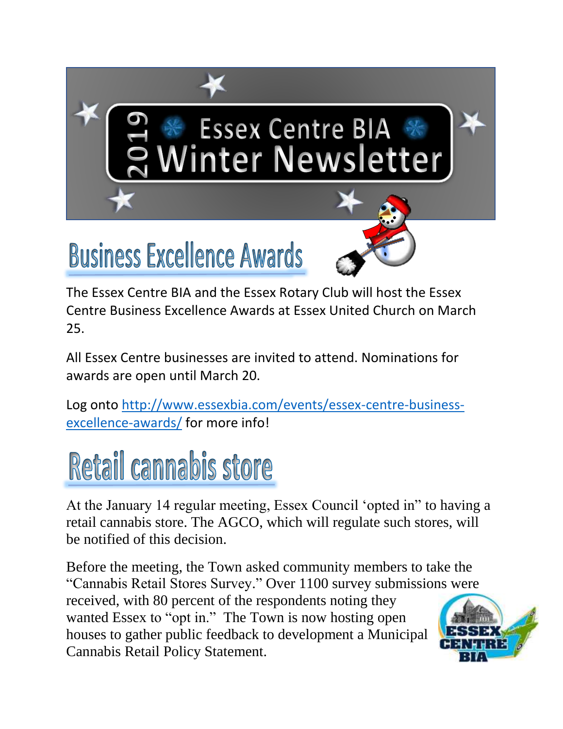# Essex Centre BIA \*<br>Winter Newsletter

# **Business Excellence Awards**

The Essex Centre BIA and the Essex Rotary Club will host the Essex Centre Business Excellence Awards at Essex United Church on March 25.

All Essex Centre businesses are invited to attend. Nominations for awards are open until March 20.

Log onto [http://www.essexbia.com/events/essex-centre-business](http://www.essexbia.com/events/essex-centre-business-excellence-awards/)[excellence-awards/](http://www.essexbia.com/events/essex-centre-business-excellence-awards/) for more info!

# Retail cannabis store

At the January 14 regular meeting, Essex Council 'opted in" to having a retail cannabis store. The AGCO, which will regulate such stores, will be notified of this decision.

Before the meeting, the Town asked community members to take the "Cannabis Retail Stores Survey." Over 1100 survey submissions were received, with 80 percent of the respondents noting they wanted Essex to "opt in." The Town is now hosting open houses to gather public feedback to development a Municipal Cannabis Retail Policy Statement.

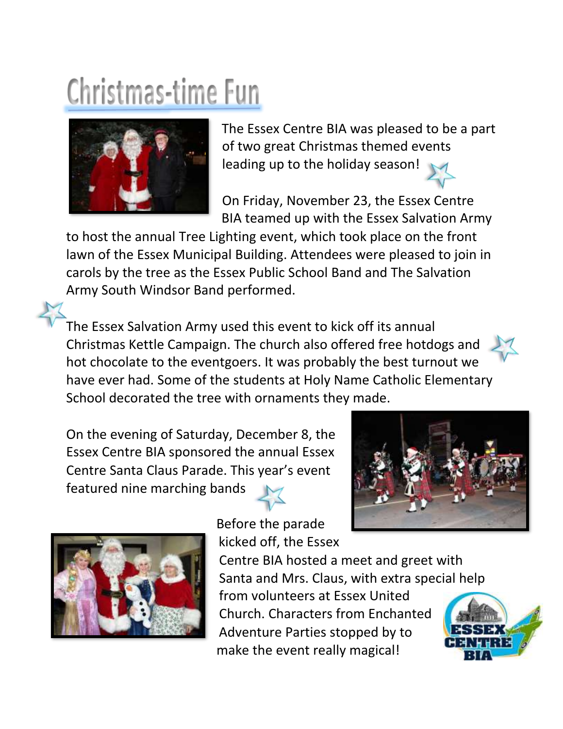# Christmas-time Fun



The Essex Centre BIA was pleased to be a part of two great Christmas themed events leading up to the holiday season!

On Friday, November 23, the Essex Centre BIA teamed up with the Essex Salvation Army

to host the annual Tree Lighting event, which took place on the front lawn of the Essex Municipal Building. Attendees were pleased to join in carols by the tree as the Essex Public School Band and The Salvation Army South Windsor Band performed.

The Essex Salvation Army used this event to kick off its annual Christmas Kettle Campaign. The church also offered free hotdogs and hot chocolate to the eventgoers. It was probably the best turnout we have ever had. Some of the students at Holy Name Catholic Elementary School decorated the tree with ornaments they made.

On the evening of Saturday, December 8, the Essex Centre BIA sponsored the annual Essex Centre Santa Claus Parade. This year's event featured nine marching bands





Before the parade kicked off, the Essex

Centre BIA hosted a meet and greet with Santa and Mrs. Claus, with extra special help

from volunteers at Essex United Church. Characters from Enchanted Adventure Parties stopped by to make the event really magical!

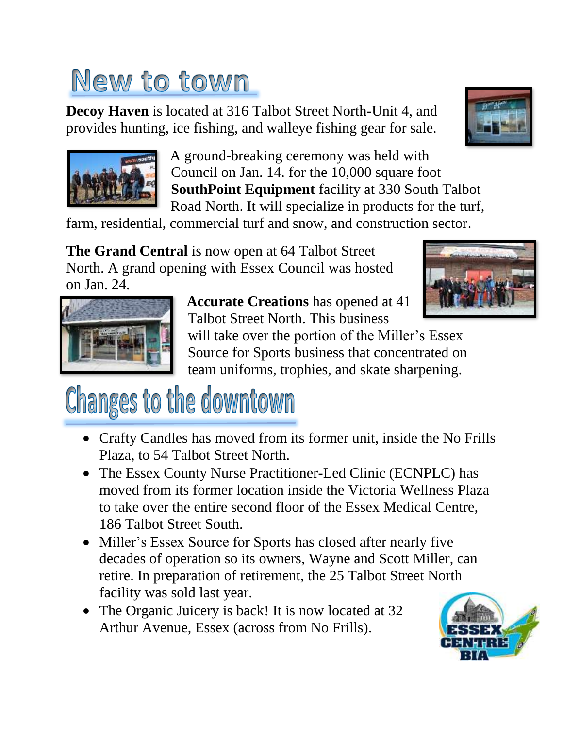## New to town

**Decoy Haven** is located at 316 Talbot Street North-Unit 4, and provides hunting, ice fishing, and walleye fishing gear for sale.





A ground-breaking ceremony was held with Council on Jan. 14. for the 10,000 square foot **SouthPoint Equipment** facility at 330 South Talbot Road North. It will specialize in products for the turf,

farm, residential, commercial turf and snow, and construction sector.

**The Grand Central** is now open at 64 Talbot Street North. A grand opening with Essex Council was hosted on Jan. 24.





**Accurate Creations** has opened at 41 Talbot Street North. This business

will take over the portion of the Miller's Essex Source for Sports business that concentrated on team uniforms, trophies, and skate sharpening.

# Changes to the downtown

- Crafty Candles has moved from its former unit, inside the No Frills Plaza, to 54 Talbot Street North.
- The Essex County Nurse Practitioner-Led Clinic (ECNPLC) has moved from its former location inside the Victoria Wellness Plaza to take over the entire second floor of the Essex Medical Centre, 186 Talbot Street South.
- Miller's Essex Source for Sports has closed after nearly five decades of operation so its owners, Wayne and Scott Miller, can retire. In preparation of retirement, the 25 Talbot Street North facility was sold last year.
- The Organic Juicery is back! It is now located at 32 Arthur Avenue, Essex (across from No Frills).